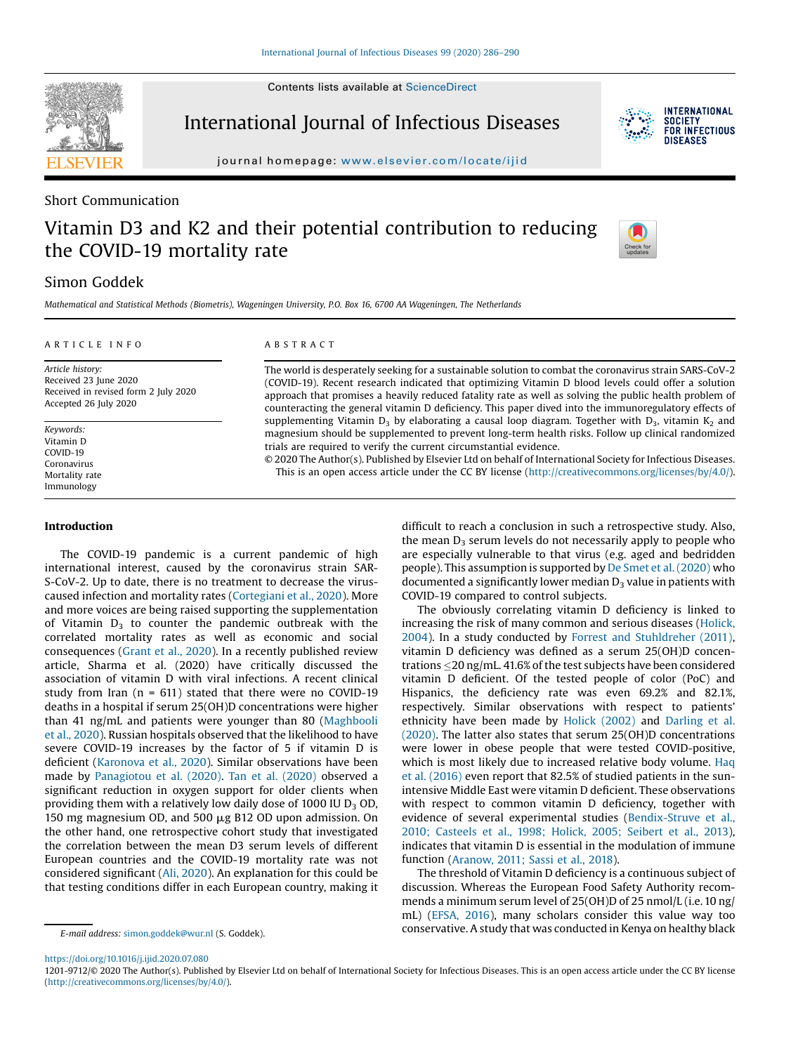Contents lists available at [ScienceDirect](http://www.sciencedirect.com/science/journal/12019712)



International Journal of Infectious Diseases



journal homepage: <www.elsevier.com/locate/ijid>

### Short Communication

# Vitamin D3 and K2 and their potential contribution to reducing the COVID-19 mortality rate



## Simon Goddek

Mathematical and Statistical Methods (Biometris), Wageningen University, P.O. Box 16, 6700 AA Wageningen, The Netherlands

#### A R T I C L E I N F O Article history: Received 23 June 2020 Received in revised form 2 July 2020 Accepted 26 July 2020 Keywords: Vitamin D COVID-19 Coronavirus A B S T R A C T The world is desperately seeking for a sustainable solution to combat the coronavirus strain SARS-CoV-2 (COVID-19). Recent research indicated that optimizing Vitamin D blood levels could offer a solution approach that promises a heavily reduced fatality rate as well as solving the public health problem of counteracting the general vitamin D deficiency. This paper dived into the immunoregulatory effects of supplementing Vitamin  $D_3$  by elaborating a causal loop diagram. Together with  $D_3$ , vitamin K<sub>2</sub> and magnesium should be supplemented to prevent long-term health risks. Follow up clinical randomized trials are required to verify the current circumstantial evidence. © 2020 The Author(s). Published by Elsevier Ltd on behalf of International Society for Infectious Diseases.

This is an open access article under the CC BY license [\(http://creativecommons.org/licenses/by/4.0/](http://creativecommons.org/licenses/by/4.0/)).

#### Introduction

Mortality rate Immunology

The COVID-19 pandemic is a current pandemic of high international interest, caused by the coronavirus strain SAR-S-CoV-2. Up to date, there is no treatment to decrease the viruscaused infection and mortality rates [\(Cortegiani](#page-3-0) et al., 2020). More and more voices are being raised supporting the supplementation of Vitamin  $D_3$  to counter the pandemic outbreak with the correlated mortality rates as well as economic and social consequences [\(Grant](#page-3-0) et al., 2020). In a recently published review article, Sharma et al. (2020) have critically discussed the association of vitamin D with viral infections. A recent clinical study from Iran ( $n = 611$ ) stated that there were no COVID-19 deaths in a hospital if serum 25(OH)D concentrations were higher than 41 ng/mL and patients were younger than 80 [\(Maghbooli](#page-3-0) et al., [2020\)](#page-3-0). Russian hospitals observed that the likelihood to have severe COVID-19 increases by the factor of 5 if vitamin D is deficient [\(Karonova](#page-3-0) et al., 2020). Similar observations have been made by [Panagiotou](#page-3-0) et al. (2020). Tan et al. [\(2020\)](#page-3-0) observed a significant reduction in oxygen support for older clients when providing them with a relatively low daily dose of 1000 IU  $D_3$  OD, 150 mg magnesium OD, and 500 µg B12 OD upon admission. On the other hand, one retrospective cohort study that investigated the correlation between the mean D3 serum levels of different European countries and the COVID-19 mortality rate was not considered significant (Ali, [2020](#page-3-0)). An explanation for this could be that testing conditions differ in each European country, making it difficult to reach a conclusion in such a retrospective study. Also, the mean  $D_3$  serum levels do not necessarily apply to people who are especially vulnerable to that virus (e.g. aged and bedridden people). This assumption is supported by De Smet et al. [\(2020\)](#page-3-0) who documented a significantly lower median  $D_3$  value in patients with COVID-19 compared to control subjects.

The obviously correlating vitamin D deficiency is linked to increasing the risk of many common and serious diseases [\(Holick,](#page-3-0) [2004](#page-3-0)). In a study conducted by Forrest and [Stuhldreher](#page-3-0) (2011), vitamin D deficiency was defined as a serum 25(OH)D concentrations 20 ng/mL. 41.6% of the test subjects have been considered vitamin D deficient. Of the tested people of color (PoC) and Hispanics, the deficiency rate was even 69.2% and 82.1%, respectively. Similar observations with respect to patients' ethnicity have been made by Holick [\(2002\)](#page-3-0) and [Darling](#page-3-0) et al. [\(2020\)](#page-3-0). The latter also states that serum 25(OH)D concentrations were lower in obese people that were tested COVID-positive, which is most likely due to increased relative body volume. [Haq](#page-3-0) et al. [\(2016\)](#page-3-0) even report that 82.5% of studied patients in the sunintensive Middle East were vitamin D deficient. These observations with respect to common vitamin D deficiency, together with evidence of several experimental studies [\(Bendix-Struve](#page-3-0) et al., 2010; [Casteels](#page-3-0) et al., 1998; Holick, 2005; Seibert et al., 2013), indicates that vitamin D is essential in the modulation of immune function ([Aranow,](#page-3-0) 2011; Sassi et al., 2018).

The threshold of Vitamin D deficiency is a continuous subject of discussion. Whereas the European Food Safety Authority recommends a minimum serum level of 25(OH)D of 25 nmol/L (i.e.10 ng/ mL) [\(EFSA,](#page-3-0) 2016), many scholars consider this value way too E-mail address: [simon.goddek@wur.nl](mailto:simon.goddek@wur.nl) (S. Goddek). Conservative. A study that was conducted in Kenya on healthy black

<https://doi.org/10.1016/j.ijid.2020.07.080>

<sup>1201-9712/© 2020</sup> The Author(s). Published by Elsevier Ltd on behalf of International Society for Infectious Diseases. This is an open access article under the CC BY license [\(http://creativecommons.org/licenses/by/4.0/](http://creativecommons.org/licenses/by/4.0/)).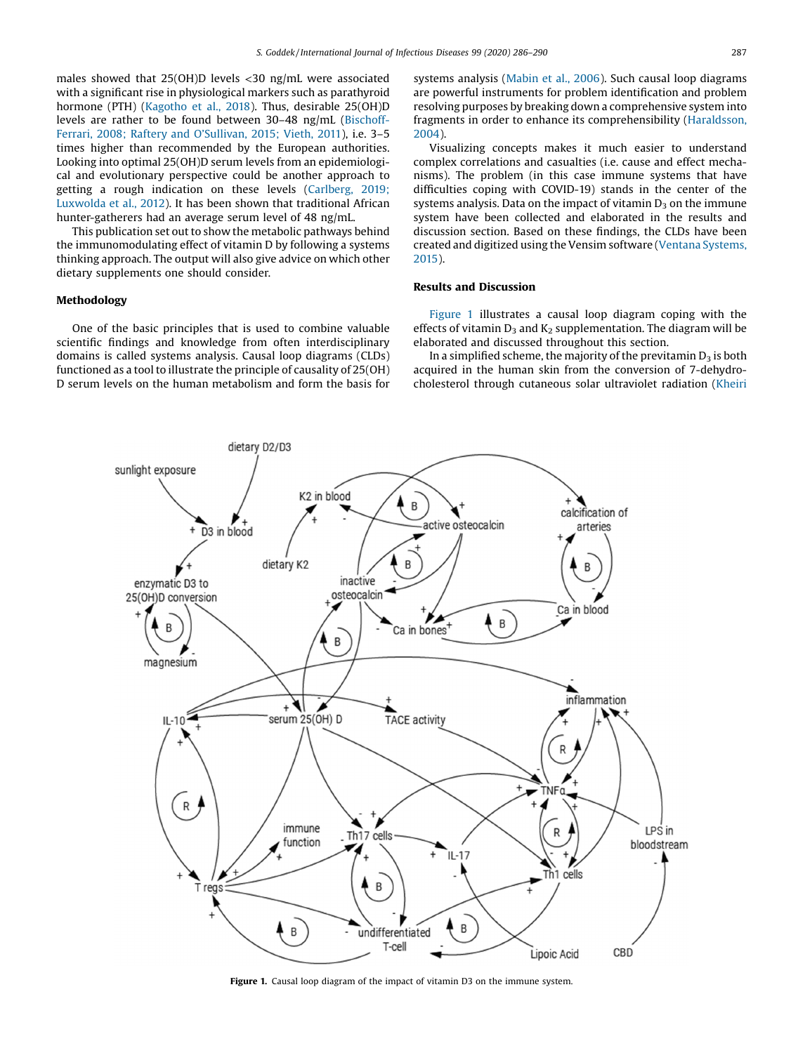<span id="page-1-0"></span>males showed that 25(OH)D levels <30 ng/mL were associated with a significant rise in physiological markers such as parathyroid hormone (PTH) [\(Kagotho](#page-3-0) et al., 2018). Thus, desirable 25(OH)D levels are rather to be found between 30–48 ng/mL ([Bischoff-](#page-3-0)Ferrari, 2008; Raftery and O'[Sullivan,](#page-3-0) 2015; Vieth, 2011), i.e. 3–5 times higher than recommended by the European authorities. Looking into optimal 25(OH)D serum levels from an epidemiological and evolutionary perspective could be another approach to getting a rough indication on these levels [\(Carlberg,](#page-3-0) 2019; [Luxwolda](#page-3-0) et al., 2012). It has been shown that traditional African hunter-gatherers had an average serum level of 48 ng/mL.

This publication set out to show the metabolic pathways behind the immunomodulating effect of vitamin D by following a systems thinking approach. The output will also give advice on which other dietary supplements one should consider.

#### Methodology

One of the basic principles that is used to combine valuable scientific findings and knowledge from often interdisciplinary domains is called systems analysis. Causal loop diagrams (CLDs) functioned as a tool to illustrate the principle of causality of  $25(OH)$ D serum levels on the human metabolism and form the basis for systems analysis [\(Mabin](#page-3-0) et al., 2006). Such causal loop diagrams are powerful instruments for problem identification and problem resolving purposes by breaking down a comprehensive system into fragments in order to enhance its comprehensibility [\(Haraldsson,](#page-3-0) [2004](#page-3-0)).

Visualizing concepts makes it much easier to understand complex correlations and casualties (i.e. cause and effect mechanisms). The problem (in this case immune systems that have difficulties coping with COVID-19) stands in the center of the systems analysis. Data on the impact of vitamin  $D_3$  on the immune system have been collected and elaborated in the results and discussion section. Based on these findings, the CLDs have been created and digitized using the Vensim software (Ventana [Systems,](#page-4-0) [2015](#page-4-0)).

#### Results and Discussion

Figure 1 illustrates a causal loop diagram coping with the effects of vitamin  $D_3$  and  $K_2$  supplementation. The diagram will be elaborated and discussed throughout this section.

In a simplified scheme, the majority of the previtamin  $D_3$  is both acquired in the human skin from the conversion of 7-dehydrocholesterol through cutaneous solar ultraviolet radiation [\(Kheiri](#page-3-0)



Figure 1. Causal loop diagram of the impact of vitamin D3 on the immune system.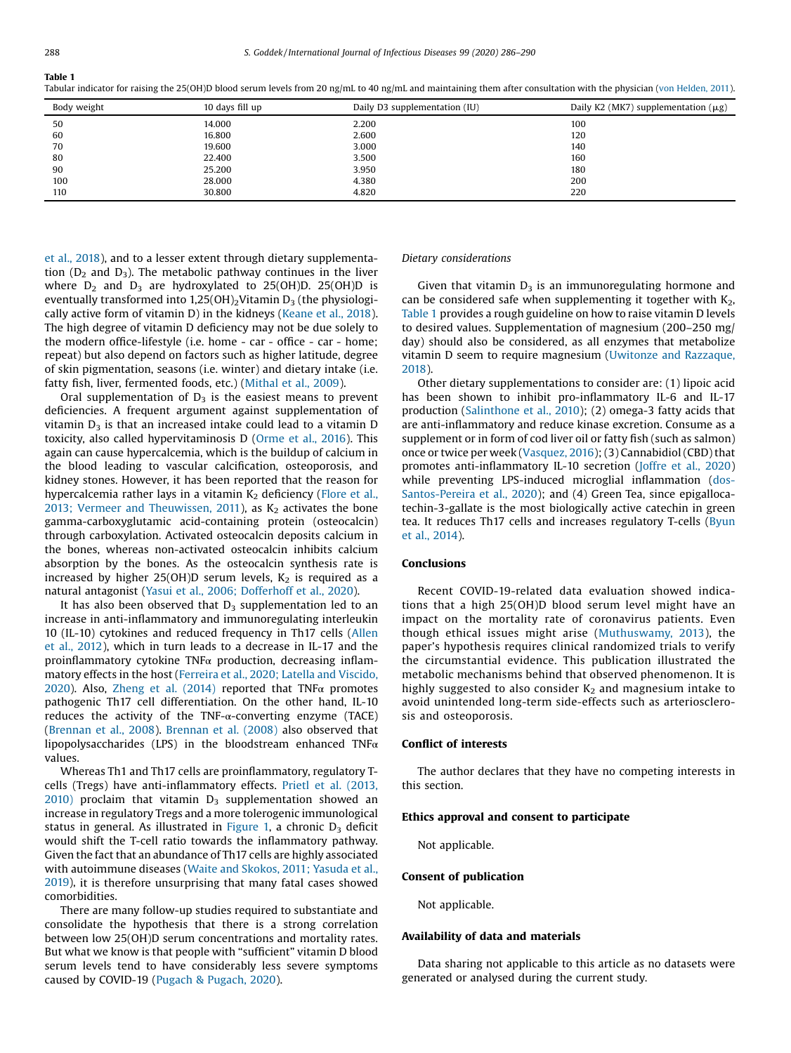Tabular indicator for raising the 25(OH)D blood serum levels from 20 ng/mL to 40 ng/mL and maintaining them after consultation with the physician (von [Helden,](#page-4-0) 2011).

| Body weight | 10 days fill up | Daily D3 supplementation (IU) | Daily K2 (MK7) supplementation $(\mu g)$ |
|-------------|-----------------|-------------------------------|------------------------------------------|
| 50          | 14.000          | 2.200                         | 100                                      |
| 60          | 16.800          | 2.600                         | 120                                      |
| 70          | 19.600          | 3.000                         | 140                                      |
| 80          | 22.400          | 3.500                         | 160                                      |
| 90          | 25,200          | 3.950                         | 180                                      |
| 100         | 28.000          | 4.380                         | 200                                      |
| 110         | 30.800          | 4.820                         | 220                                      |

et al., [2018](#page-3-0)), and to a lesser extent through dietary supplementation  $(D_2$  and  $D_3$ ). The metabolic pathway continues in the liver where  $D_2$  and  $D_3$  are hydroxylated to 25(OH)D. 25(OH)D is eventually transformed into  $1,25(OH)_2$ Vitamin D<sub>3</sub> (the physiologically active form of vitamin D) in the kidneys ([Keane](#page-3-0) et al., 2018). The high degree of vitamin D deficiency may not be due solely to the modern office-lifestyle (i.e. home - car - office - car - home; repeat) but also depend on factors such as higher latitude, degree of skin pigmentation, seasons (i.e. winter) and dietary intake (i.e. fatty fish, liver, fermented foods, etc.) ([Mithal](#page-3-0) et al., 2009).

Oral supplementation of  $D_3$  is the easiest means to prevent deficiencies. A frequent argument against supplementation of vitamin  $D_3$  is that an increased intake could lead to a vitamin  $D$ toxicity, also called hypervitaminosis D ([Orme](#page-3-0) et al., 2016). This again can cause hypercalcemia, which is the buildup of calcium in the blood leading to vascular calcification, osteoporosis, and kidney stones. However, it has been reported that the reason for hypercalcemia rather lays in a vitamin  $K_2$  deficiency ([Flore](#page-3-0) et al., 2013; Vermeer and [Theuwissen,](#page-3-0) 2011), as  $K_2$  activates the bone gamma-carboxyglutamic acid-containing protein (osteocalcin) through carboxylation. Activated osteocalcin deposits calcium in the bones, whereas non-activated osteocalcin inhibits calcium absorption by the bones. As the osteocalcin synthesis rate is increased by higher 25(OH)D serum levels,  $K_2$  is required as a natural antagonist (Yasui et al., 2006; [Dofferhoff](#page-4-0) et al., 2020).

It has also been observed that  $D_3$  supplementation led to an increase in anti-inflammatory and immunoregulating interleukin 10 (IL-10) cytokines and reduced frequency in Th17 cells ([Allen](#page-3-0) et al., [2012](#page-3-0)), which in turn leads to a decrease in IL-17 and the proinflammatory cytokine TNFα production, decreasing inflammatory effects in the host (Ferreira et al., 2020; Latella and [Viscido,](#page-3-0) [2020\)](#page-3-0). Also, Zheng et al. [\(2014\)](#page-4-0) reported that TNF $\alpha$  promotes pathogenic Th17 cell differentiation. On the other hand, IL-10 reduces the activity of the TNF- $\alpha$ -converting enzyme (TACE) ([Brennan](#page-3-0) et al., 2008). [Brennan](#page-3-0) et al. (2008) also observed that lipopolysaccharides (LPS) in the bloodstream enhanced TNF $\alpha$ values.

Whereas Th1 and Th17 cells are proinflammatory, regulatory Tcells (Tregs) have anti-inflammatory effects. Prietl et al. [\(2013,](#page-3-0)  $2010$ ) proclaim that vitamin  $D_3$  supplementation showed an increase in regulatory Tregs and a more tolerogenic immunological status in general. As illustrated in [Figure](#page-1-0) 1, a chronic  $D_3$  deficit would shift the T-cell ratio towards the inflammatory pathway. Given the fact that an abundance of Th17 cells are highly associated with autoimmune diseases (Waite and [Skokos,](#page-4-0) 2011; Yasuda et al., [2019](#page-4-0)), it is therefore unsurprising that many fatal cases showed comorbidities.

There are many follow-up studies required to substantiate and consolidate the hypothesis that there is a strong correlation between low 25(OH)D serum concentrations and mortality rates. But what we know is that people with "sufficient" vitamin D blood serum levels tend to have considerably less severe symptoms caused by COVID-19 (Pugach & [Pugach,](#page-3-0) 2020).

#### Dietary considerations

Given that vitamin  $D_3$  is an immunoregulating hormone and can be considered safe when supplementing it together with  $K_2$ , Table 1 provides a rough guideline on how to raise vitamin D levels to desired values. Supplementation of magnesium (200–250 mg/ day) should also be considered, as all enzymes that metabolize vitamin D seem to require magnesium (Uwitonze and [Razzaque,](#page-3-0) [2018](#page-3-0)).

Other dietary supplementations to consider are: (1) lipoic acid has been shown to inhibit pro-inflammatory IL-6 and IL-17 production ([Salinthone](#page-3-0) et al., 2010); (2) omega-3 fatty acids that are anti-inflammatory and reduce kinase excretion. Consume as a supplement or in form of cod liver oil or fatty fish (such as salmon) once or twice per week ([Vasquez,](#page-3-0) 2016); (3) Cannabidiol (CBD) that promotes anti-inflammatory IL-10 secretion ([Joffre](#page-3-0) et al., 2020) while preventing LPS-induced microglial inflammation [\(dos-](#page-3-0)[Santos-Pereira](#page-3-0) et al., 2020); and (4) Green Tea, since epigallocatechin-3-gallate is the most biologically active catechin in green tea. It reduces Th17 cells and increases regulatory T-cells [\(Byun](#page-3-0) et al., [2014\)](#page-3-0).

#### Conclusions

Recent COVID-19-related data evaluation showed indications that a high 25(OH)D blood serum level might have an impact on the mortality rate of coronavirus patients. Even though ethical issues might arise ([Muthuswamy,](#page-3-0) 2013), the paper's hypothesis requires clinical randomized trials to verify the circumstantial evidence. This publication illustrated the metabolic mechanisms behind that observed phenomenon. It is highly suggested to also consider  $K<sub>2</sub>$  and magnesium intake to avoid unintended long-term side-effects such as arteriosclerosis and osteoporosis.

#### Conflict of interests

The author declares that they have no competing interests in this section.

#### Ethics approval and consent to participate

Not applicable.

#### Consent of publication

Not applicable.

#### Availability of data and materials

Data sharing not applicable to this article as no datasets were generated or analysed during the current study.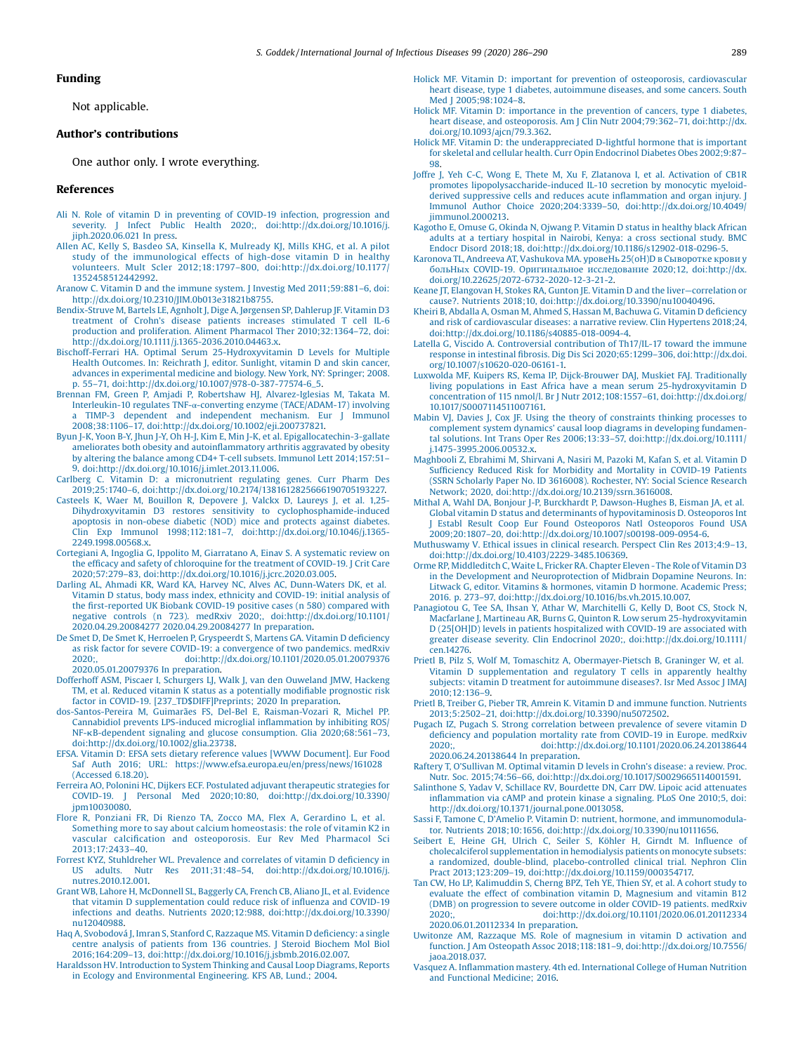#### <span id="page-3-0"></span>Funding

Not applicable.

### Author's contributions

One author only. I wrote everything.

#### References

- Ali N. Role of vitamin D in preventing of COVID-19 infection, [progression](http://refhub.elsevier.com/S1201-9712(20)30624-X/sbref0005) and severity. J Infect Public Health 2020; doi:http://dx.doi.org/10.1016/i. iinh.2020.06.021 In press.
- Allen AC, Kelly S, Basdeo SA, Kinsella K, [Mulready](http://refhub.elsevier.com/S1201-9712(20)30624-X/sbref0010) KJ, Mills KHG, et al. A pilot study of the [immunological](http://refhub.elsevier.com/S1201-9712(20)30624-X/sbref0010) effects of high-dose vitamin D in healthy volunteers. Mult Scler 2012;18:1797–800, [doi:http://dx.doi.org/10.1177/](http://refhub.elsevier.com/S1201-9712(20)30624-X/sbref0010) [1352458512442992.](http://dx.doi.org/10.1177/1352458512442992)
- Aranow C. Vitamin D and the immune system. J Investig Med [2011;59:881](http://refhub.elsevier.com/S1201-9712(20)30624-X/sbref0015)–6, doi: [http://dx.doi.org/10.2310/JIM.0b013e31821b8755.](http://dx.doi.org/10.2310/JIM.0b013e31821b8755)
- [Bendix-Struve](http://refhub.elsevier.com/S1201-9712(20)30624-X/sbref0020) M, Bartels LE, Agnholt J, Dige A, Jørgensen SP, Dahlerup JF. Vitamin D3 treatment of Crohn's disease patients increases [stimulated](http://refhub.elsevier.com/S1201-9712(20)30624-X/sbref0020) T cell IL-6 production and proliferation. Aliment Pharmacol Ther [2010;32:1364](http://refhub.elsevier.com/S1201-9712(20)30624-X/sbref0020)–72, doi: [http://dx.doi.org/10.1111/j.1365-2036.2010.04463.x.](http://dx.doi.org/10.1111/j.1365-2036.2010.04463.x)
- Bischoff-Ferrari HA. Optimal Serum [25-Hydroxyvitamin](http://refhub.elsevier.com/S1201-9712(20)30624-X/sbref0025) D Levels for Multiple Health [Outcomes.](http://refhub.elsevier.com/S1201-9712(20)30624-X/sbref0025) In: Reichrath J, editor. Sunlight, vitamin D and skin cancer, advances in [experimental](http://refhub.elsevier.com/S1201-9712(20)30624-X/sbref0025) medicine and biology. New York, NY: Springer; 2008. p. 55–71, [doi:http://dx.doi.org/10.1007/978-0-387-77574-6\\_5.](http://refhub.elsevier.com/S1201-9712(20)30624-X/sbref0025)
- Brennan FM, Green P, Amjadi P, Robertshaw HJ, [Alvarez-Iglesias](http://refhub.elsevier.com/S1201-9712(20)30624-X/sbref0030) M, Takata M. Interleukin-10 regulates TNF-α-converting enzyme [\(TACE/ADAM-17\)](http://refhub.elsevier.com/S1201-9712(20)30624-X/sbref0030) involving a TIMP-3 dependent and [independent](http://refhub.elsevier.com/S1201-9712(20)30624-X/sbref0030) mechanism. Eur J Immunol 2008;38:1106–17, [doi:http://dx.doi.org/10.1002/eji.200737821.](http://refhub.elsevier.com/S1201-9712(20)30624-X/sbref0030)
- Byun J-K, Yoon B-Y, Jhun J-Y, Oh H-J, Kim E, Min J-K, et al. [Epigallocatechin-3-gallate](http://refhub.elsevier.com/S1201-9712(20)30624-X/sbref0035) [ameliorates](http://refhub.elsevier.com/S1201-9712(20)30624-X/sbref0035) both obesity and autoinflammatory arthritis aggravated by obesity by altering the balance among CD4+ T-cell subsets. Immunol Lett [2014;157:51](http://refhub.elsevier.com/S1201-9712(20)30624-X/sbref0035)– 9, [doi:http://dx.doi.org/10.1016/j.imlet.2013.11.006.](http://refhub.elsevier.com/S1201-9712(20)30624-X/sbref0035)
- Carlberg C. Vitamin D: a [micronutrient](http://refhub.elsevier.com/S1201-9712(20)30624-X/sbref0040) regulating genes. Curr Pharm Des 2019;25:1740–6, [doi:http://dx.doi.org/10.2174/1381612825666190705193227.](http://refhub.elsevier.com/S1201-9712(20)30624-X/sbref0040)
- Casteels K, Waer M, Bouillon R, [Depovere](http://refhub.elsevier.com/S1201-9712(20)30624-X/sbref0045) J, Valckx D, Laureys J, et al. 1,25- Dihydroxyvitamin D3 restores sensitivity to [cyclophosphamide-induced](http://refhub.elsevier.com/S1201-9712(20)30624-X/sbref0045) apoptosis in [non-obese](http://refhub.elsevier.com/S1201-9712(20)30624-X/sbref0045) diabetic (NOD) mice and protects against diabetes. Clin Exp Immunol 1998;112:181–7, [doi:http://dx.doi.org/10.1046/j.1365-](http://refhub.elsevier.com/S1201-9712(20)30624-X/sbref0045) [2249.1998.00568.x.](http://dx.doi.org/10.1046/j.1365-2249.1998.00568.x)
- Cortegiani A, Ingoglia G, Ippolito M, [Giarratano](http://refhub.elsevier.com/S1201-9712(20)30624-X/sbref0050) A, Einav S. A systematic review on the efficacy and safety of [chloroquine](http://refhub.elsevier.com/S1201-9712(20)30624-X/sbref0050) for the treatment of COVID-19. J Crit Care 2020;57:279–83, [doi:http://dx.doi.org/10.1016/j.jcrc.2020.03.005.](http://refhub.elsevier.com/S1201-9712(20)30624-X/sbref0050)
- Darling AL, Ahmadi KR, Ward KA, Harvey NC, Alves AC, [Dunn-Waters](http://refhub.elsevier.com/S1201-9712(20)30624-X/sbref0055) DK, et al. Vitamin D status, body mass index, ethnicity and [COVID-19:](http://refhub.elsevier.com/S1201-9712(20)30624-X/sbref0055) initial analysis of the fi[rst-reported](http://refhub.elsevier.com/S1201-9712(20)30624-X/sbref0055) UK Biobank COVID-19 positive cases (n 580) compared with negative controls (n 723). medRxiv 2020;, [doi:http://dx.doi.org/10.1101/](http://refhub.elsevier.com/S1201-9712(20)30624-X/sbref0055) 2020.04.29.20084277 [2020.04.29.20084277](http://dx.doi.org/10.1101/2020.04.29.20084277) In preparation.
- De Smet D, De Smet K, Herroelen P, [Gryspeerdt](http://refhub.elsevier.com/S1201-9712(20)30624-X/sbref0060) S, Martens GA. Vitamin D deficiency as risk factor for severe COVID-19: a [convergence](http://refhub.elsevier.com/S1201-9712(20)30624-X/sbref0060) of two pandemics. medRxiv 2020;, [doi:http://dx.doi.org/10.1101/2020.05.01.20079376](http://refhub.elsevier.com/S1201-9712(20)30624-X/sbref0060) [2020.05.01.20079376](http://refhub.elsevier.com/S1201-9712(20)30624-X/sbref0060) In preparation.
- Dofferhoff ASM, Piscaer I, Schurgers LJ, Walk J, van den [Ouweland](http://refhub.elsevier.com/S1201-9712(20)30624-X/sbref0065) JMW, Hackeng TM, et al. Reduced vitamin K status as a [potentially](http://refhub.elsevier.com/S1201-9712(20)30624-X/sbref0065) modifiable prognostic risk factor in COVID-19. [\[237\\_TD\\$DIFF\]Preprints;](http://refhub.elsevier.com/S1201-9712(20)30624-X/sbref0065) 2020 In preparation.
- [dos-Santos-Pereira](http://refhub.elsevier.com/S1201-9712(20)30624-X/sbref0070) M, Guimarães FS, Del-Bel E, Raisman-Vozari R, Michel PP. Cannabidiol prevents [LPS-induced](http://refhub.elsevier.com/S1201-9712(20)30624-X/sbref0070) microglial inflammation by inhibiting ROS/ NF-kB-dependent signaling and glucose [consumption.](http://refhub.elsevier.com/S1201-9712(20)30624-X/sbref0070) Glia 2020;68:561–73, [doi:http://dx.doi.org/10.1002/glia.23738.](http://refhub.elsevier.com/S1201-9712(20)30624-X/sbref0070)
- EFSA. Vitamin D: EFSA sets dietary reference values [WWW [Document\].](http://refhub.elsevier.com/S1201-9712(20)30624-X/sbref0075) Eur Food Saf Auth 2016; URL: [https://www.efsa.europa.eu/en/press/news/161028](http://refhub.elsevier.com/S1201-9712(20)30624-X/sbref0075) [\(Accessed](http://refhub.elsevier.com/S1201-9712(20)30624-X/sbref0075) 6.18.20).
- Ferreira AO, Polonini HC, Dijkers ECF. Postulated adjuvant [therapeutic](http://refhub.elsevier.com/S1201-9712(20)30624-X/sbref0080) strategies for COVID-19. J Personal Med 2020;10:80, [doi:http://dx.doi.org/10.3390/](http://refhub.elsevier.com/S1201-9712(20)30624-X/sbref0080) [jpm10030080.](http://dx.doi.org/10.3390/jpm10030080)
- Flore R, Ponziani FR, Di Rienzo TA, Zocco MA, Flex A, [Gerardino](http://refhub.elsevier.com/S1201-9712(20)30624-X/sbref0085) L, et al. Something more to say about calcium [homeostasis:](http://refhub.elsevier.com/S1201-9712(20)30624-X/sbref0085) the role of vitamin K2 in vascular calcification and [osteoporosis.](http://refhub.elsevier.com/S1201-9712(20)30624-X/sbref0085) Eur Rev Med Pharmacol Sci [2013;17:2433](http://refhub.elsevier.com/S1201-9712(20)30624-X/sbref0085)–40.
- Forrest KYZ, [Stuhldreher](http://refhub.elsevier.com/S1201-9712(20)30624-X/sbref0090) WL. Prevalence and correlates of vitamin D deficiency in US adults. Nutr Res 2011;31:48–54, [doi:http://dx.doi.org/10.1016/j.](http://refhub.elsevier.com/S1201-9712(20)30624-X/sbref0090) [nutres.2010.12.001.](http://dx.doi.org/10.1016/j.nutres.2010.12.001)
- Grant WB, Lahore H, [McDonnell](http://refhub.elsevier.com/S1201-9712(20)30624-X/sbref0095) SL, Baggerly CA, French CB, Aliano JL, et al. Evidence that vitamin D [supplementation](http://refhub.elsevier.com/S1201-9712(20)30624-X/sbref0095) could reduce risk of influenza and COVID-19 infections and deaths. Nutrients 2020;12:988, [doi:http://dx.doi.org/10.3390/](http://refhub.elsevier.com/S1201-9712(20)30624-X/sbref0095) [nu12040988.](http://dx.doi.org/10.3390/nu12040988)
- Haq A, [Svobodová](http://refhub.elsevier.com/S1201-9712(20)30624-X/sbref0100) J, Imran S, Stanford C, Razzaque MS. Vitamin D deficiency: a single centre analysis of patients from 136 [countries.](http://refhub.elsevier.com/S1201-9712(20)30624-X/sbref0100) J Steroid Biochem Mol Biol 2016;164:209–13, [doi:http://dx.doi.org/10.1016/j.jsbmb.2016.02.007.](http://refhub.elsevier.com/S1201-9712(20)30624-X/sbref0100)
- Haraldsson HV. [Introduction](http://refhub.elsevier.com/S1201-9712(20)30624-X/sbref0105) to System Thinking and Causal Loop Diagrams, Reports in Ecology and [Environmental](http://refhub.elsevier.com/S1201-9712(20)30624-X/sbref0105) Engineering. KFS AB, Lund.; 2004.
- Holick MF. Vitamin D: important for prevention of osteoporosis, [cardiovascular](http://refhub.elsevier.com/S1201-9712(20)30624-X/sbref0110) heart disease, type 1 diabetes, [autoimmune](http://refhub.elsevier.com/S1201-9712(20)30624-X/sbref0110) diseases, and some cancers. South Med | [2005;98:1024](http://refhub.elsevier.com/S1201-9712(20)30624-X/sbref0110)-8.
- Holick MF. Vitamin D: [importance](http://refhub.elsevier.com/S1201-9712(20)30624-X/sbref0115) in the prevention of cancers, type 1 diabetes, heart disease, and osteoporosis. Am J Clin Nutr 2004;79:362–71, [doi:http://dx.](http://refhub.elsevier.com/S1201-9712(20)30624-X/sbref0115) [doi.org/10.1093/ajcn/79.3.362.](http://dx.doi.org/10.1093/ajcn/79.3.362)
- Holick MF. Vitamin D: the [underappreciated](http://refhub.elsevier.com/S1201-9712(20)30624-X/sbref0120) D-lightful hormone that is important for skeletal and cellular health. Curr Opin [Endocrinol](http://refhub.elsevier.com/S1201-9712(20)30624-X/sbref0120) Diabetes Obes 2002;9:87– [98](http://refhub.elsevier.com/S1201-9712(20)30624-X/sbref0120).
- Joffre J, Yeh C-C, Wong E, Thete M, Xu F, Zlatanova I, et al. [Activation](http://refhub.elsevier.com/S1201-9712(20)30624-X/sbref0125) of CB1R promotes [lipopolysaccharide-induced](http://refhub.elsevier.com/S1201-9712(20)30624-X/sbref0125) IL-10 secretion by monocytic myeloidderived [suppressive](http://refhub.elsevier.com/S1201-9712(20)30624-X/sbref0125) cells and reduces acute inflammation and organ injury. J Immunol Author Choice 2020;204:3339–50, [doi:http://dx.doi.org/10.4049/](http://refhub.elsevier.com/S1201-9712(20)30624-X/sbref0125) [jimmunol.2000213.](http://dx.doi.org/10.4049/jimmunol.2000213)
- [Kagotho](http://refhub.elsevier.com/S1201-9712(20)30624-X/sbref0130) E, Omuse G, Okinda N, Ojwang P. Vitamin D status in healthy black African adults at a tertiary hospital in Nairobi, Kenya: a cross [sectional](http://refhub.elsevier.com/S1201-9712(20)30624-X/sbref0130) study. BMC Endocr Disord 2018;18, [doi:http://dx.doi.org/10.1186/s12902-018-0296-5.](http://refhub.elsevier.com/S1201-9712(20)30624-X/sbref0130)
- Karonova TL, Andreeva AT, [Vashukova](http://refhub.elsevier.com/S1201-9712(20)30624-X/sbref0135) MA. уровеНь 25(oH)D в Сыворотке крови у  $6$ ольНых COVID-19. Оригинальное исследование 2020;12, [doi:http://dx.](http://refhub.elsevier.com/S1201-9712(20)30624-X/sbref0135) [doi.org/10.22625/2072-6732-2020-12-3-21-2.](http://dx.doi.org/10.22625/2072-6732-2020-12-3-21-2)
- Keane JT, Elangovan H, Stokes RA, Gunton JE. Vitamin D and the liver—[correlation](http://refhub.elsevier.com/S1201-9712(20)30624-X/sbref0140) or cause?. Nutrients 2018;10, [doi:http://dx.doi.org/10.3390/nu10040496.](http://refhub.elsevier.com/S1201-9712(20)30624-X/sbref0140)
- Kheiri B, Abdalla A, Osman M, Ahmed S, Hassan M, [Bachuwa](http://refhub.elsevier.com/S1201-9712(20)30624-X/sbref0145) G. Vitamin D deficiency and risk of [cardiovascular](http://refhub.elsevier.com/S1201-9712(20)30624-X/sbref0145) diseases: a narrative review. Clin Hypertens 2018;24, [doi:http://dx.doi.org/10.1186/s40885-018-0094-4.](http://refhub.elsevier.com/S1201-9712(20)30624-X/sbref0145)
- Latella G, Viscido A. [Controversial](http://refhub.elsevier.com/S1201-9712(20)30624-X/sbref0150) contribution of Th17/IL-17 toward the immune response in intestinal fibrosis. Dig Dis Sci 2020;65:1299–306, [doi:http://dx.doi.](http://refhub.elsevier.com/S1201-9712(20)30624-X/sbref0150) [org/10.1007/s10620-020-06161-1.](http://dx.doi.org/10.1007/s10620-020-06161-1)
- Luxwolda MF, Kuipers RS, Kema IP, [Dijck-Brouwer](http://refhub.elsevier.com/S1201-9712(20)30624-X/sbref0155) DAJ, Muskiet FAJ. Traditionally living populations in East Africa have a mean serum [25-hydroxyvitamin](http://refhub.elsevier.com/S1201-9712(20)30624-X/sbref0155) D concentration of 115 nmol/l. Br J Nutr 2012;108:1557–61, [doi:http://dx.doi.org/](http://refhub.elsevier.com/S1201-9712(20)30624-X/sbref0155) [10.1017/S0007114511007161.](http://dx.doi.org/10.1017/S0007114511007161)
- Mabin VJ, Davies J, Cox JF. Using the theory of [constraints](http://refhub.elsevier.com/S1201-9712(20)30624-X/sbref0160) thinking processes to [complement](http://refhub.elsevier.com/S1201-9712(20)30624-X/sbref0160) system dynamics' causal loop diagrams in developing fundamental solutions. Int Trans Oper Res 2006;13:33–57, [doi:http://dx.doi.org/10.1111/](http://refhub.elsevier.com/S1201-9712(20)30624-X/sbref0160) [j.1475-3995.2006.00532.x.](http://dx.doi.org/10.1111/j.1475-3995.2006.00532.x)
- [Maghbooli](http://refhub.elsevier.com/S1201-9712(20)30624-X/sbref0165) Z, Ebrahimi M, Shirvani A, Nasiri M, Pazoki M, Kafan S, et al. Vitamin D Sufficiency Reduced Risk for [Morbidity](http://refhub.elsevier.com/S1201-9712(20)30624-X/sbref0165) and Mortality in COVID-19 Patients (SSRN Scholarly Paper No. ID 3616008). [Rochester,](http://refhub.elsevier.com/S1201-9712(20)30624-X/sbref0165) NY: Social Science Research Network; 2020, [doi:http://dx.doi.org/10.2139/ssrn.3616008.](http://refhub.elsevier.com/S1201-9712(20)30624-X/sbref0165)
- Mithal A, Wahl DA, Bonjour J-P, Burckhardt P, [Dawson-Hughes](http://refhub.elsevier.com/S1201-9712(20)30624-X/sbref0170) B, Eisman JA, et al. Global vitamin D status and determinants of [hypovitaminosis](http://refhub.elsevier.com/S1201-9712(20)30624-X/sbref0170) D. Osteoporos Int J Establ Result Coop Eur Found [Osteoporos](http://refhub.elsevier.com/S1201-9712(20)30624-X/sbref0170) Natl Osteoporos Found USA 2009;20:1807–20, [doi:http://dx.doi.org/10.1007/s00198-009-0954-6.](http://refhub.elsevier.com/S1201-9712(20)30624-X/sbref0170)
- [Muthuswamy](http://refhub.elsevier.com/S1201-9712(20)30624-X/sbref0175) V. Ethical issues in clinical research. Perspect Clin Res 2013;4:9–13, [doi:http://dx.doi.org/10.4103/2229-3485.106369.](http://refhub.elsevier.com/S1201-9712(20)30624-X/sbref0175)
- Orme RP, [Middleditch](http://refhub.elsevier.com/S1201-9712(20)30624-X/sbref0180) C, Waite L, Fricker RA. Chapter Eleven -The Role of Vitamin D3 in the Development and [Neuroprotection](http://refhub.elsevier.com/S1201-9712(20)30624-X/sbref0180) of Midbrain Dopamine Neurons. In: Litwack G, editor. Vitamins & [hormones,](http://refhub.elsevier.com/S1201-9712(20)30624-X/sbref0180) vitamin D hormone. Academic Press; 2016. p. 273–97, [doi:http://dx.doi.org/10.1016/bs.vh.2015.10.007.](http://refhub.elsevier.com/S1201-9712(20)30624-X/sbref0180)
- [Panagiotou](http://refhub.elsevier.com/S1201-9712(20)30624-X/sbref0185) G, Tee SA, Ihsan Y, Athar W, Marchitelli G, Kelly D, Boot CS, Stock N, Macfarlane J, Martineau AR, Burns G, Quinton R. Low serum [25-hydroxyvitamin](http://refhub.elsevier.com/S1201-9712(20)30624-X/sbref0185) D (25[OH]D) levels in patients [hospitalized](http://refhub.elsevier.com/S1201-9712(20)30624-X/sbref0185) with COVID-19 are associated with greater disease severity. Clin Endocrinol 2020;, [doi:http://dx.doi.org/10.1111/](http://refhub.elsevier.com/S1201-9712(20)30624-X/sbref0185) [cen.14276.](http://dx.doi.org/10.1111/cen.14276)
- Prietl B, Pilz S, Wolf M, Tomaschitz A, [Obermayer-Pietsch](http://refhub.elsevier.com/S1201-9712(20)30624-X/sbref0190) B, Graninger W, et al. Vitamin D [supplementation](http://refhub.elsevier.com/S1201-9712(20)30624-X/sbref0190) and regulatory T cells in apparently healthy subjects: vitamin D treatment for [autoimmune](http://refhub.elsevier.com/S1201-9712(20)30624-X/sbref0190) diseases?. Isr Med Assoc J IMAJ  $2010:12:136-9$
- Prietl B, Treiber G, Pieber TR, Amrein K. Vitamin D and immune function. [Nutrients](http://refhub.elsevier.com/S1201-9712(20)30624-X/sbref0195) 2013;5:2502–21, [doi:http://dx.doi.org/10.3390/nu5072502.](http://refhub.elsevier.com/S1201-9712(20)30624-X/sbref0195)
- Pugach IZ, Pugach S. Strong [correlation](http://refhub.elsevier.com/S1201-9712(20)30624-X/sbref0200) between prevalence of severe vitamin D deficiency and [population](http://refhub.elsevier.com/S1201-9712(20)30624-X/sbref0200) mortality rate from COVID-19 in Europe. medRxiv 2020:<br>
doi:http://dx.doi.org/10.1101/2020.06.24.20138644 2020;, [doi:http://dx.doi.org/10.1101/2020.06.24.20138644](http://refhub.elsevier.com/S1201-9712(20)30624-X/sbref0200) [2020.06.24.20138644](http://refhub.elsevier.com/S1201-9712(20)30624-X/sbref0200) In preparation.
- Raftery T, O'Sullivan M. [Optimal](http://refhub.elsevier.com/S1201-9712(20)30624-X/sbref0205) vitamin D levels in Crohn's disease: a review. Proc. Nutr. Soc. 2015;74:56–66, [doi:http://dx.doi.org/10.1017/S0029665114001591.](http://refhub.elsevier.com/S1201-9712(20)30624-X/sbref0205)
- [Salinthone](http://refhub.elsevier.com/S1201-9712(20)30624-X/sbref0210) S, Yadav V, Schillace RV, Bourdette DN, Carr DW. Lipoic acid attenuates infl[ammation](http://refhub.elsevier.com/S1201-9712(20)30624-X/sbref0210) via cAMP and protein kinase a signaling. PLoS One 2010;5, doi: [http://dx.doi.org/10.1371/journal.pone.0013058.](http://dx.doi.org/10.1371/journal.pone.0013058)
- Sassi F, Tamone C, D'Amelio P. Vitamin D: nutrient, hormone, and [immunomodula](http://refhub.elsevier.com/S1201-9712(20)30624-X/sbref0215)tor. Nutrients 2018;10:1656, [doi:http://dx.doi.org/10.3390/nu10111656.](http://refhub.elsevier.com/S1201-9712(20)30624-X/sbref0215)
- [Seibert](http://refhub.elsevier.com/S1201-9712(20)30624-X/sbref0220) E, Heine GH, Ulrich C, Seiler S, Köhler H, Girndt M. Influence of cholecalciferol [supplementation](http://refhub.elsevier.com/S1201-9712(20)30624-X/sbref0220) in hemodialysis patients on monocyte subsets: a randomized, double-blind, [placebo-controlled](http://refhub.elsevier.com/S1201-9712(20)30624-X/sbref0220) clinical trial. Nephron Clin Pract 2013;123:209–19, [doi:http://dx.doi.org/10.1159/000354717.](http://refhub.elsevier.com/S1201-9712(20)30624-X/sbref0220)
- Tan CW, Ho LP, [Kalimuddin](http://refhub.elsevier.com/S1201-9712(20)30624-X/sbref0225) S, Cherng BPZ, Teh YE, Thien SY, et al. A cohort study to evaluate the effect of [combination](http://refhub.elsevier.com/S1201-9712(20)30624-X/sbref0225) vitamin D, Magnesium and vitamin B12 (DMB) on [progression](http://refhub.elsevier.com/S1201-9712(20)30624-X/sbref0225) to severe outcome in older COVID-19 patients. medRxiv 2020:.<br>doi:http://dx.doi.org/10.1101/2020.06.01.20112334 2020;, [doi:http://dx.doi.org/10.1101/2020.06.01.20112334](http://refhub.elsevier.com/S1201-9712(20)30624-X/sbref0225) [2020.06.01.20112334](http://refhub.elsevier.com/S1201-9712(20)30624-X/sbref0225) In preparation.
- Uwitonze AM, Razzaque MS. Role of [magnesium](http://refhub.elsevier.com/S1201-9712(20)30624-X/sbref0230) in vitamin D activation and function. J Am Osteopath Assoc 2018;118:181–9, [doi:http://dx.doi.org/10.7556/](http://refhub.elsevier.com/S1201-9712(20)30624-X/sbref0230) [jaoa.2018.037.](http://dx.doi.org/10.7556/jaoa.2018.037)
- Vasquez A. Inflammation mastery. 4th ed. [International](http://refhub.elsevier.com/S1201-9712(20)30624-X/sbref0235) College of Human Nutrition and [Functional](http://refhub.elsevier.com/S1201-9712(20)30624-X/sbref0235) Medicine; 2016.